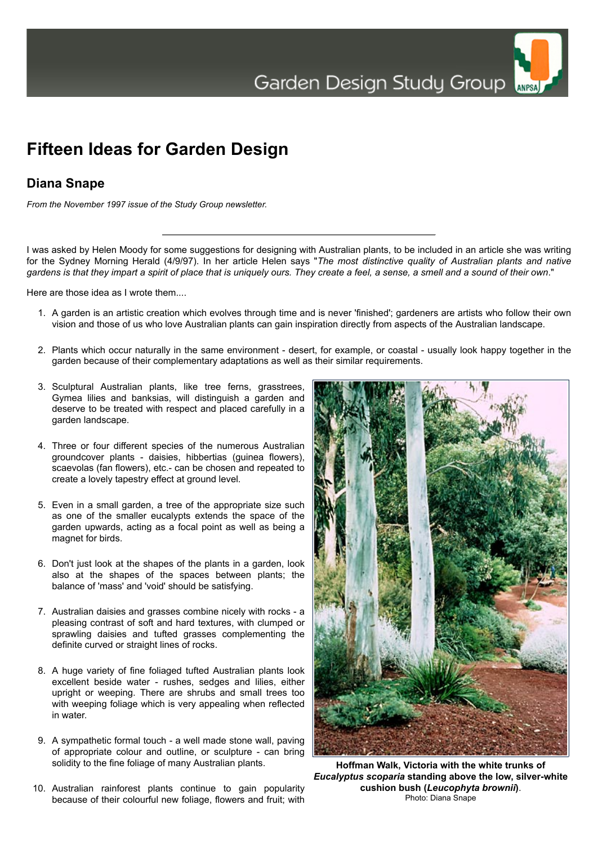## **Fifteen Ideas for Garden Design**

## **Diana Snape**

*From the November 1997 issue of the Study Group newsletter.*

I was asked by Helen Moody for some suggestions for designing with Australian plants, to be included in an article she was writing for the Sydney Morning Herald (4/9/97). In her article Helen says "*The most distinctive quality of Australian plants and native gardens is that they impart a spirit of place that is uniquely ours. They create a feel, a sense, a smell and a sound of their own*."

Here are those idea as I wrote them....

- 1. A garden is an artistic creation which evolves through time and is never 'finished'; gardeners are artists who follow their own vision and those of us who love Australian plants can gain inspiration directly from aspects of the Australian landscape.
- 2. Plants which occur naturally in the same environment desert, for example, or coastal usually look happy together in the garden because of their complementary adaptations as well as their similar requirements.
- 3. Sculptural Australian plants, like tree ferns, grasstrees, Gymea lilies and banksias, will distinguish a garden and deserve to be treated with respect and placed carefully in a garden landscape.
- 4. Three or four different species of the numerous Australian groundcover plants - daisies, hibbertias (guinea flowers), scaevolas (fan flowers), etc.- can be chosen and repeated to create a lovely tapestry effect at ground level.
- 5. Even in a small garden, a tree of the appropriate size such as one of the smaller eucalypts extends the space of the garden upwards, acting as a focal point as well as being a magnet for birds.
- 6. Don't just look at the shapes of the plants in a garden, look also at the shapes of the spaces between plants; the balance of 'mass' and 'void' should be satisfying.
- 7. Australian daisies and grasses combine nicely with rocks a pleasing contrast of soft and hard textures, with clumped or sprawling daisies and tufted grasses complementing the definite curved or straight lines of rocks.
- 8. A huge variety of fine foliaged tufted Australian plants look excellent beside water - rushes, sedges and lilies, either upright or weeping. There are shrubs and small trees too with weeping foliage which is very appealing when reflected in water.
- 9. A sympathetic formal touch a well made stone wall, paving of appropriate colour and outline, or sculpture - can bring solidity to the fine foliage of many Australian plants.
- 10. Australian rainforest plants continue to gain popularity because of their colourful new foliage, flowers and fruit; with



**Hoffman Walk, Victoria with the white trunks of** *Eucalyptus scoparia* **standing above the low, silver-white cushion bush (***Leucophyta brownii***)**. Photo: Diana Snape